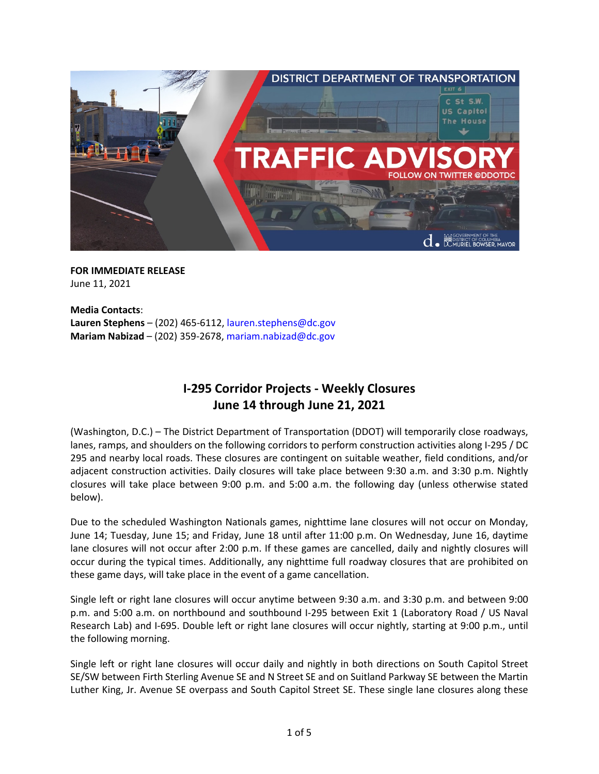

### **FOR IMMEDIATE RELEASE**  June 11, 2021

**Media Contacts**: **Lauren Stephens** – (202) 465-6112, [lauren.stephens@dc.gov](mailto:lauren.stephens@dc.gov) **Mariam Nabizad** – (202) 359-2678[, mariam.nabizad@dc.gov](mailto:mariam.nabizad@dc.gov)

# **I-295 Corridor Projects - Weekly Closures June 14 through June 21, 2021**

(Washington, D.C.) – The District Department of Transportation (DDOT) will temporarily close roadways, lanes, ramps, and shoulders on the following corridors to perform construction activities along I-295 / DC 295 and nearby local roads. These closures are contingent on suitable weather, field conditions, and/or adjacent construction activities. Daily closures will take place between 9:30 a.m. and 3:30 p.m. Nightly closures will take place between 9:00 p.m. and 5:00 a.m. the following day (unless otherwise stated below).

Due to the scheduled Washington Nationals games, nighttime lane closures will not occur on Monday, June 14; Tuesday, June 15; and Friday, June 18 until after 11:00 p.m. On Wednesday, June 16, daytime lane closures will not occur after 2:00 p.m. If these games are cancelled, daily and nightly closures will occur during the typical times. Additionally, any nighttime full roadway closures that are prohibited on these game days, will take place in the event of a game cancellation.

Single left or right lane closures will occur anytime between 9:30 a.m. and 3:30 p.m. and between 9:00 p.m. and 5:00 a.m. on northbound and southbound I-295 between Exit 1 (Laboratory Road / US Naval Research Lab) and I-695. Double left or right lane closures will occur nightly, starting at 9:00 p.m., until the following morning.

Single left or right lane closures will occur daily and nightly in both directions on South Capitol Street SE/SW between Firth Sterling Avenue SE and N Street SE and on Suitland Parkway SE between the Martin Luther King, Jr. Avenue SE overpass and South Capitol Street SE. These single lane closures along these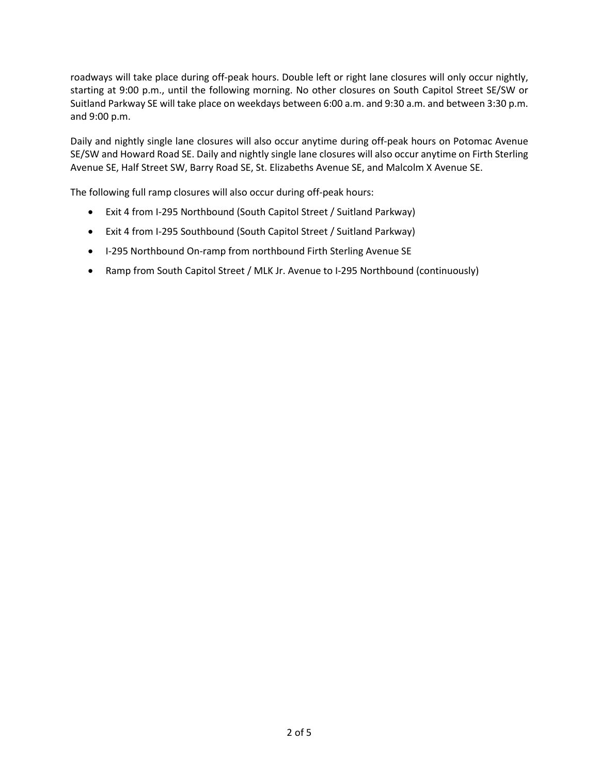roadways will take place during off-peak hours. Double left or right lane closures will only occur nightly, starting at 9:00 p.m., until the following morning. No other closures on South Capitol Street SE/SW or Suitland Parkway SE will take place on weekdays between 6:00 a.m. and 9:30 a.m. and between 3:30 p.m. and 9:00 p.m.

Daily and nightly single lane closures will also occur anytime during off-peak hours on Potomac Avenue SE/SW and Howard Road SE. Daily and nightly single lane closures will also occur anytime on Firth Sterling Avenue SE, Half Street SW, Barry Road SE, St. Elizabeths Avenue SE, and Malcolm X Avenue SE.

The following full ramp closures will also occur during off-peak hours:

- Exit 4 from I-295 Northbound (South Capitol Street / Suitland Parkway)
- Exit 4 from I-295 Southbound (South Capitol Street / Suitland Parkway)
- I-295 Northbound On-ramp from northbound Firth Sterling Avenue SE
- Ramp from South Capitol Street / MLK Jr. Avenue to I-295 Northbound (continuously)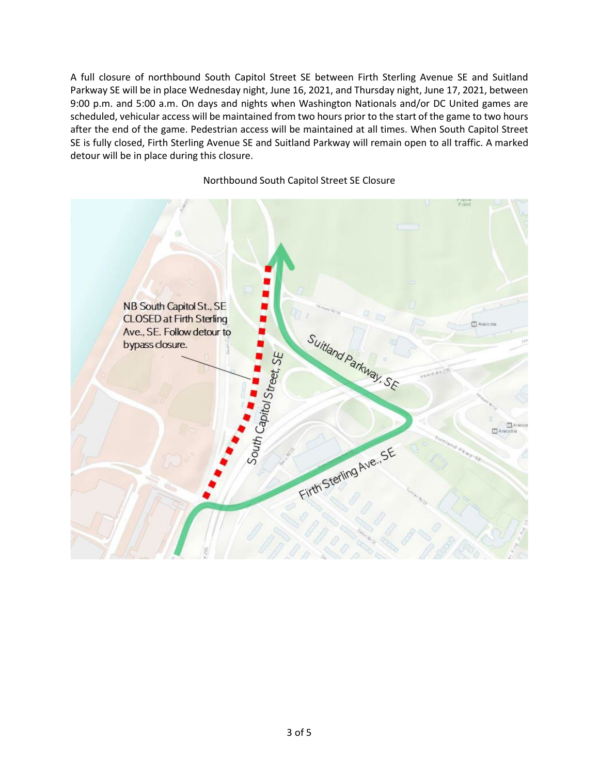A full closure of northbound South Capitol Street SE between Firth Sterling Avenue SE and Suitland Parkway SE will be in place Wednesday night, June 16, 2021, and Thursday night, June 17, 2021, between 9:00 p.m. and 5:00 a.m. On days and nights when Washington Nationals and/or DC United games are scheduled, vehicular access will be maintained from two hours prior to the start of the game to two hours after the end of the game. Pedestrian access will be maintained at all times. When South Capitol Street SE is fully closed, Firth Sterling Avenue SE and Suitland Parkway will remain open to all traffic. A marked detour will be in place during this closure.



Northbound South Capitol Street SE Closure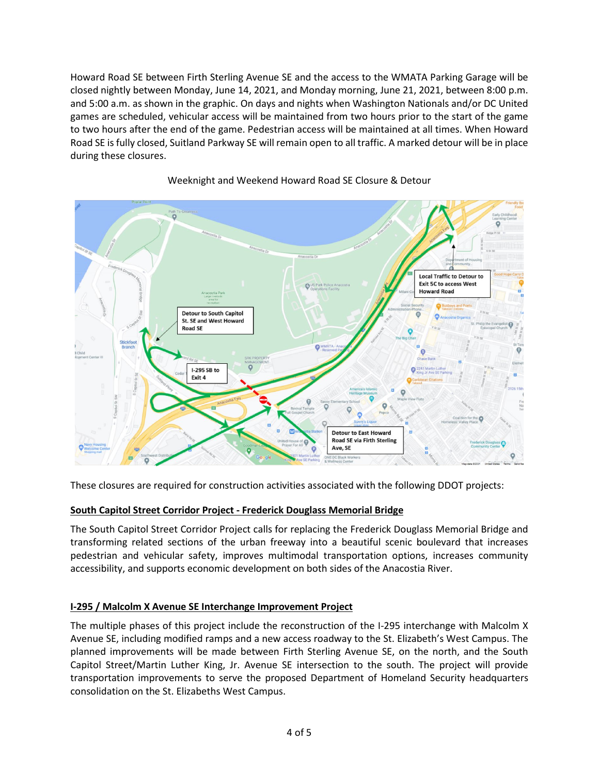Howard Road SE between Firth Sterling Avenue SE and the access to the WMATA Parking Garage will be closed nightly between Monday, June 14, 2021, and Monday morning, June 21, 2021, between 8:00 p.m. and 5:00 a.m. as shown in the graphic. On days and nights when Washington Nationals and/or DC United games are scheduled, vehicular access will be maintained from two hours prior to the start of the game to two hours after the end of the game. Pedestrian access will be maintained at all times. When Howard Road SE is fully closed, Suitland Parkway SE will remain open to all traffic. A marked detour will be in place during these closures.



## Weeknight and Weekend Howard Road SE Closure & Detour

These closures are required for construction activities associated with the following DDOT projects:

## **South Capitol Street Corridor Project - Frederick Douglass Memorial Bridge**

The South Capitol Street Corridor Project calls for replacing the Frederick Douglass Memorial Bridge and transforming related sections of the urban freeway into a beautiful scenic boulevard that increases pedestrian and vehicular safety, improves multimodal transportation options, increases community accessibility, and supports economic development on both sides of the Anacostia River.

## **I-295 / Malcolm X Avenue SE Interchange Improvement Project**

The multiple phases of this project include the reconstruction of the I-295 interchange with Malcolm X Avenue SE, including modified ramps and a new access roadway to the St. Elizabeth's West Campus. The planned improvements will be made between Firth Sterling Avenue SE, on the north, and the South Capitol Street/Martin Luther King, Jr. Avenue SE intersection to the south. The project will provide transportation improvements to serve the proposed Department of Homeland Security headquarters consolidation on the St. Elizabeths West Campus.